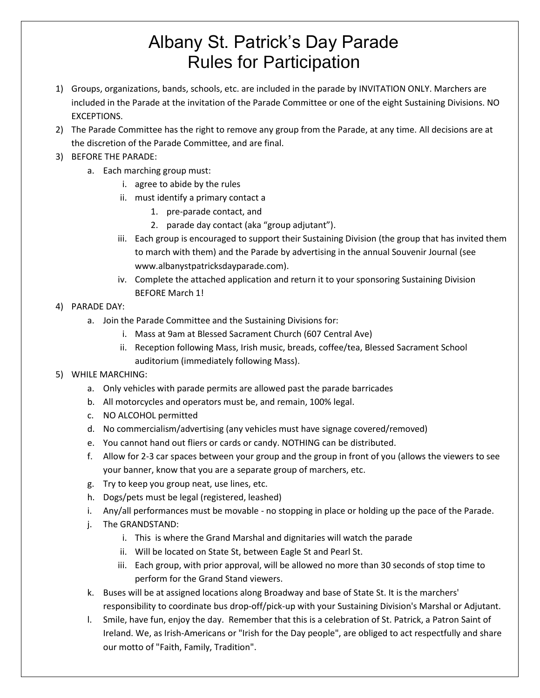# Albany St. Patrick's Day Parade Rules for Participation

- 1) Groups, organizations, bands, schools, etc. are included in the parade by INVITATION ONLY. Marchers are included in the Parade at the invitation of the Parade Committee or one of the eight Sustaining Divisions. NO EXCEPTIONS.
- 2) The Parade Committee has the right to remove any group from the Parade, at any time. All decisions are at the discretion of the Parade Committee, and are final.
- 3) BEFORE THE PARADE:
	- a. Each marching group must:
		- i. agree to abide by the rules
		- ii. must identify a primary contact a
			- 1. pre-parade contact, and
			- 2. parade day contact (aka "group adjutant").
		- iii. Each group is encouraged to support their Sustaining Division (the group that has invited them to march with them) and the Parade by advertising in the annual Souvenir Journal (see www.albanystpatricksdayparade.com).
		- iv. Complete the attached application and return it to your sponsoring Sustaining Division BEFORE March 1!

### 4) PARADE DAY:

- a. Join the Parade Committee and the Sustaining Divisions for:
	- i. Mass at 9am at Blessed Sacrament Church (607 Central Ave)
	- ii. Reception following Mass, Irish music, breads, coffee/tea, Blessed Sacrament School auditorium (immediately following Mass).

### 5) WHILE MARCHING:

- a. Only vehicles with parade permits are allowed past the parade barricades
- b. All motorcycles and operators must be, and remain, 100% legal.
- c. NO ALCOHOL permitted
- d. No commercialism/advertising (any vehicles must have signage covered/removed)
- e. You cannot hand out fliers or cards or candy. NOTHING can be distributed.
- f. Allow for 2-3 car spaces between your group and the group in front of you (allows the viewers to see your banner, know that you are a separate group of marchers, etc.
- g. Try to keep you group neat, use lines, etc.
- h. Dogs/pets must be legal (registered, leashed)
- i. Any/all performances must be movable no stopping in place or holding up the pace of the Parade.
- j. The GRANDSTAND:
	- i. This is where the Grand Marshal and dignitaries will watch the parade
	- ii. Will be located on State St, between Eagle St and Pearl St.
	- iii. Each group, with prior approval, will be allowed no more than 30 seconds of stop time to perform for the Grand Stand viewers.
- k. Buses will be at assigned locations along Broadway and base of State St. It is the marchers' responsibility to coordinate bus drop-off/pick-up with your Sustaining Division's Marshal or Adjutant.
- l. Smile, have fun, enjoy the day. Remember that this is a celebration of St. Patrick, a Patron Saint of Ireland. We, as Irish-Americans or "Irish for the Day people", are obliged to act respectfully and share our motto of "Faith, Family, Tradition".